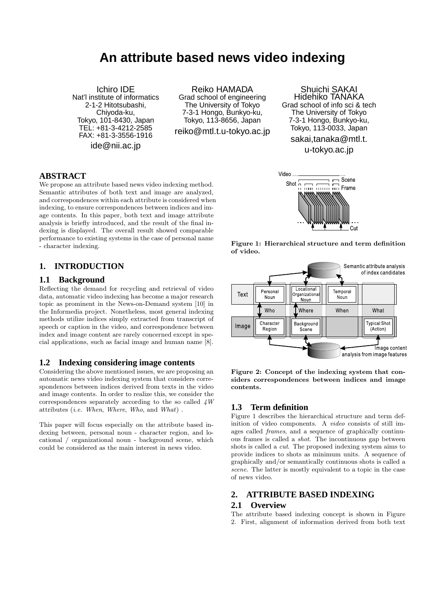# **An attribute based news video indexing**

Ichiro IDE Nat'l institute of informatics 2-1-2 Hitotsubashi, Chiyoda-ku, Tokyo, 101-8430, Japan TEL: +81-3-4212-2585 FAX: +81-3-3556-1916 ide@nii.ac.jp

Reiko HAMADA Grad school of engineering The University of Tokyo 7-3-1 Hongo, Bunkyo-ku, Tokyo, 113-8656, Japan reiko@mtl.t.u-tokyo.ac.jp

**ABSTRACT**

We propose an attribute based news video indexing method. Semantic attributes of both text and image are analyzed, and correspondences within each attribute is considered when indexing, to ensure correspondences between indices and image contents. In this paper, both text and image attribute analysis is briefly introduced, and the result of the final indexing is displayed. The overall result showed comparable performance to existing systems in the case of personal name - character indexing.

## **1. INTRODUCTION**

#### **1.1 Background**

Reflecting the demand for recycling and retrieval of video data, automatic video indexing has become a major research topic as prominent in the News-on-Demand system [10] in the Informedia project. Nonetheless, most general indexing methods utilize indices simply extracted from transcript of speech or caption in the video, and correspondence between index and image content are rarely concerned except in special applications, such as facial image and human name [8].

#### **1.2 Indexing considering image contents**

Considering the above mentioned issues, we are proposing an automatic news video indexing system that considers correspondences between indices derived from texts in the video and image contents. In order to realize this, we consider the correspondences separately according to the so called *4W* attributes (*i.e. When*, *Where*, *Who*, and *What*) .

This paper will focus especially on the attribute based indexing between, personal noun - character region, and locational / organizational noun - background scene, which could be considered as the main interest in news video.

Shuichi SAKAI Hidehiko TANAKA Grad school of info sci & tech The University of Tokyo 7-3-1 Hongo, Bunkyo-ku, Tokyo, 113-0033, Japan

sakai,tanaka@mtl.t.

u-tokyo.ac.jp







**Figure 2: Concept of the indexing system that considers correspondences between indices and image contents.**

## **1.3 Term definition**

Figure 1 describes the hierarchical structure and term definition of video components. A *video* consists of still images called *frames*, and a sequence of graphically continuous frames is called a *shot*. The incontinuous gap between shots is called a *cut*. The proposed indexing system aims to provide indices to shots as minimum units. A sequence of graphically and/or semantically continuous shots is called a *scene*. The latter is mostly equivalent to a topic in the case of news video.

## **2. ATTRIBUTE BASED INDEXING 2.1 Overview**

The attribute based indexing concept is shown in Figure 2. First, alignment of information derived from both text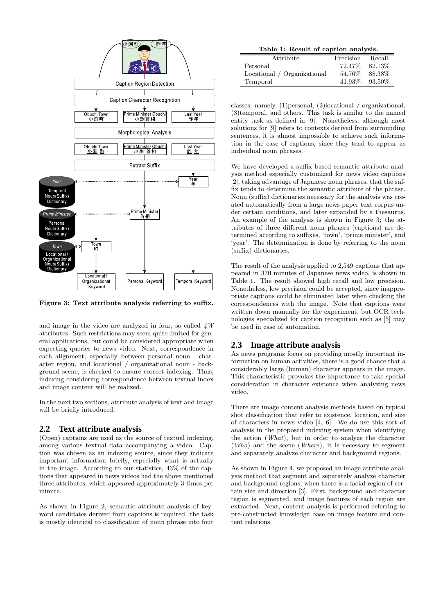

**Figure 3: Text attribute analysis referring to suffix.**

and image in the video are analyzed in four, so called *4W* attributes. Such restrictions may seem quite limited for general applications, but could be considered appropriate when expecting queries to news video. Next, correspondence in each alignment, especially between personal noun - character region, and locational / organizational noun - background scene, is checked to ensure correct indexing. Thus, indexing considering correspondence between textual index and image content will be realized.

In the next two sections, attribute analysis of text and image will be briefly introduced.

## **2.2 Text attribute analysis**

(Open) captions are used as the source of textual indexing, among various textual data accompanying a video. Caption was chosen as an indexing source, since they indicate important information briefly, especially what is actually in the image. According to our statistics, 43% of the captions that appeared in news videos had the above mentioned three attributes, which appeared approximately 3 times per minute.

As shown in Figure 2, semantic attribute analysis of keyword candidates derived from captions is required. the task is mostly identical to classification of noun phrase into four

**Table 1: Result of caption analysis.**

| Attribute                   | Precision | Recall  |
|-----------------------------|-----------|---------|
| Personal                    | 72.47\%   | 82.13\% |
| Locational / Organizational | 54.76\%   | 88.38%  |
| Temporal                    | 41.93%    | 93.50%  |

classes; namely, (1)personal, (2)locational / organizational, (3)temporal, and others. This task is similar to the named entity task as defined in [9]. Nonetheless, although most solutions for [9] refers to contexts derived from surrounding sentences, it is almost impossible to achieve such information in the case of captions, since they tend to appear as individual noun phrases.

We have developed a suffix based semantic attribute analysis method especially customized for news video captions [2], taking advantage of Japanese noun phrases, that the suffix tends to determine the semantic attribute of the phrase. Noun (suffix) dictionaries necessary for the analysis was created automatically from a large news paper text corpus under certain conditions, and later expanded by a thesaurus. An example of the analysis is shown in Figure 3; the attributes of three different noun phrases (captions) are determined according to suffixes, 'town', 'prime minister', and 'year'. The determination is done by referring to the noun (suffix) dictionaries.

The result of the analysis applied to 2,549 captions that appeared in 370 minutes of Japanese news video, is shown in Table 1. The result showed high recall and low precision. Nonetheless, low precision could be accepted, since inappropriate captions could be eliminated later when checking the correspondences with the image. Note that captions were written down manually for the experiment, but OCR technologies specialized for caption recognition such as [5] may be used in case of automation.

## **2.3 Image attribute analysis**

As news programs focus on providing mostly important information on human activities, there is a good chance that a considerably large (human) character appears in the image. This characteristic provokes the importance to take special consideration in character existence when analyzing news video.

There are image content analysis methods based on typical shot classification that refer to existence, location, and size of characters in news video [4, 6]. We do use this sort of analysis in the proposed indexing system when identifying the action (*What*), but in order to analyze the character (*Who*) and the scene (*Where*), it is necessary to segment and separately analyze character and background regions.

As shown in Figure 4, we proposed an image attribute analysis method that segment and separately analyze character and background regions, when there is a facial region of certain size and direction [3]. First, background and character region is segmented, and image features of each region are extracted. Next, content analysis is performed referring to pre-constructed knowledge base on image feature and content relations.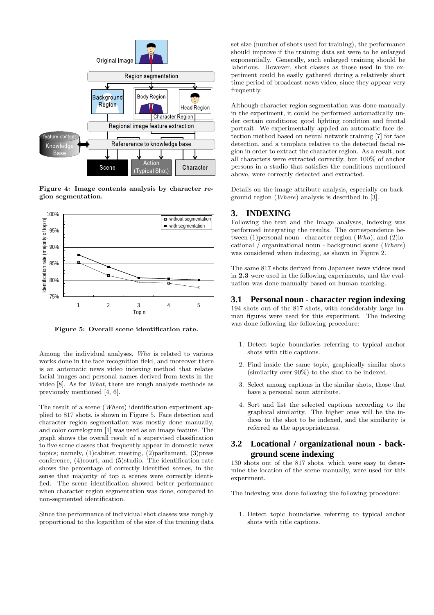

**Figure 4: Image contents analysis by character region segmentation.**



**Figure 5: Overall scene identification rate.**

Among the individual analyses, *Who* is related to various works done in the face recognition field, and moreover there is an automatic news video indexing method that relates facial images and personal names derived from texts in the video [8]. As for *What*, there are rough analysis methods as previously mentioned [4, 6].

The result of a scene (*Where*) identification experiment applied to 817 shots, is shown in Figure 5. Face detection and character region segmentation was mostly done manually, and color correlogram [1] was used as an image feature. The graph shows the overall result of a supervised classification to five scene classes that frequently appear in domestic news topics; namely, (1)cabinet meeting, (2)parliament, (3)press conference, (4)court, and (5)studio. The identification rate shows the percentage of correctly identified scenes, in the sense that majority of top *n* scenes were correctly identified. The scene identification showed better performance when character region segmentation was done, compared to non-segmented identification.

Since the performance of individual shot classes was roughly proportional to the logarithm of the size of the training data

set size (number of shots used for training), the performance should improve if the training data set were to be enlarged exponentially. Generally, such enlarged training should be laborious. However, shot classes as those used in the experiment could be easily gathered during a relatively short time period of broadcast news video, since they appear very frequently.

Although character region segmentation was done manually in the experiment, it could be performed automatically under certain conditions; good lighting condition and frontal portrait. We experimentally applied an automatic face detection method based on neural network training [7] for face detection, and a template relative to the detected facial region in order to extract the character region. As a result, not all characters were extracted correctly, but 100% of anchor persons in a studio that satisfies the conditions mentioned above, were correctly detected and extracted.

Details on the image attribute analysis, especially on background region (*Where*) analysis is described in [3].

#### **3. INDEXING**

Following the text and the image analyses, indexing was performed integrating the results. The correspondence between (1)personal noun - character region (*Who*), and (2)locational / organizational noun - background scene (*Where*) was considered when indexing, as shown in Figure 2.

The same 817 shots derived from Japanese news videos used in **2.3** were used in the following experiments, and the evaluation was done manually based on human marking.

#### **3.1 Personal noun - character region indexing**

194 shots out of the 817 shots, with considerably large human figures were used for this experiment. The indexing was done following the following procedure:

- 1. Detect topic boundaries referring to typical anchor shots with title captions.
- 2. Find inside the same topic, graphically similar shots (similarity over 90%) to the shot to be indexed.
- 3. Select among captions in the similar shots, those that have a personal noun attribute.
- 4. Sort and list the selected captions according to the graphical similarity. The higher ones will be the indices to the shot to be indexed, and the similarity is referred as the appropriateness.

## **3.2 Locational / organizational noun - background scene indexing**

130 shots out of the 817 shots, which were easy to determine the location of the scene manually, were used for this experiment.

The indexing was done following the following procedure:

1. Detect topic boundaries referring to typical anchor shots with title captions.